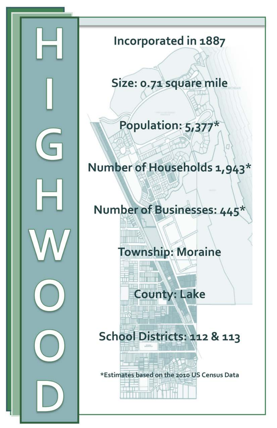

## Incorporated in 1887

## Size: 0.71 square mile

## Population: 5,377\*

## Number of Households 1,943\*

## Number of Businesses: 445\*

## **Township: Moraine**

# **County: Lake**

**THE CONFIDENT** 

<u> Human III (III) </u>

# School Districts: 112 & 113

\*Estimates based on the 2010 US Census Data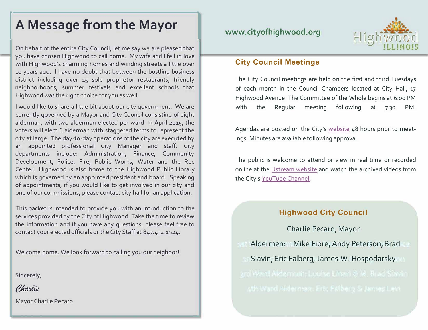# **A Message from the Mayor**

On behalf of the entire City Council, let me say we are pleased that you have chosen Highwood to call home. My wife and I fell in love with Highwood's charming homes and winding streets a little over <sup>10</sup>years ago. I have no doubt that between the bustling business district including over 15 sole proprietor restaurants, friendly neighborhoods, summer festivals and excellent schools that Highwood was the right choice for you as well.

I would like to share a little bit about our city government. We are currently governed by a Mayor and City Council consisting of eight alderman, with two alderman elected per ward. In April 2015, the voters will elect 6 alderman with staggered terms to represent the city at large. The day-to-day operations of the city are executed by an appointed professional City Manager and staff. City departments include: Administration, Finance, Community Development, Police, Fire, Public Works, Water and the Rec Center. Highwood is also home to the Highwood Public Library which is governed by an appointed president and board. Speaking of appointments, if you would like to get involved in our city and one of our commissions, please contact city hall for an application.

This packet is intended to provide you with an introduction to the services provided by the City of Highwood. Take the time to review the information and if you have any questions, please feel free to contact your elected officials or the City Staff at 847.432.1924.

Welcome home. We look forward to calling you our neighbor!

Sincerely,

Charlie

Mayor Charlie Pecaro



### **City Council Meetings**

The City Council meetings are held on the first and third Tuesdays of each month in the Council Chambers located at City Hall, 17 Highwood Avenue. The Committee of the Whole begins at 6:oo PM with the Regular meeting following at 7:30 PM.

Agendas are posted on the City's website 48 hours prior to meetings. Minutes are available following approval.

The public is welcome to attend or view in real time or recorded online at the Ustream website and watch the archived videos from the City's YouTube Channel.

### **Highwood City Council**

Charlie Pecaro, Mayor Aldermen: Mike Fiore, Andy Peterson, Brad Slavin, Eric FaIberg, James W. Hospodarsky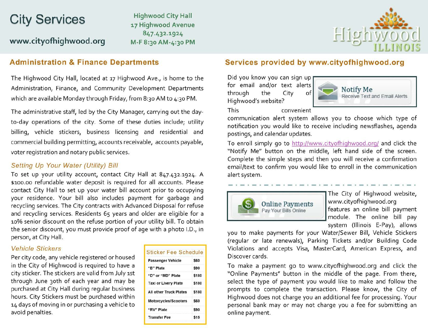# **City Services**

www.cityofhighwood.org

**Highwood City Hall** 17 Highwood Avenue 847.432.1924 M-F 8:30 AM-4:30 PM



### **Administration & Finance Departments**

The Highwood City Hall, located at 17 Highwood Ave., is home to the Administration, Finance, and Community Development Departments which are available Monday through Friday, from 8:30 AM to 4:30 PM.

The administrative staff, led by the City Manager, carrying out the dayto-day operations of the city. Some of these duties include; utility billing, vehicle stickers, business licensing and residential and commercial building permitting, accounts receivable, accounts payable, voter registration and notary public services.

#### Setting Up Your Water (Utility) Bill

To set up your utility account, contact City Hall at 847.432.1924. A \$100.00 refundable water deposit is required for all accounts. Please contact City Hall to set up your water bill account prior to occupying your residence. Your bill also includes payment for garbage and recycling services. The City contracts with Advanced Disposal for refuse and recycling services. Residents 65 years and older are eligible for a 10% senior discount on the refuse portion of your utility bill. To obtain the senior discount, you must provide proof of age with a photo I.D., in person, at City Hall.

#### **Vehicle Stickers**

Per city code, any vehicle registered or housed in the City of Highwood is required to have a city sticker. The stickers are valid from July 1st through June 30th of each year and may be purchased at City Hall during regular business hours. City Stickers must be purchased within 14 days of moving in or purchasing a vehicle to avoid penalties.

| <b>Sticker Fee Schedule</b>   |       |
|-------------------------------|-------|
| <b>Passenger Vehicle</b>      | \$60  |
| "B" Plate                     | \$90  |
| "D" or "MD" Plate             | \$180 |
| <b>Taxi or Livery Plate</b>   | \$180 |
| <b>All other Truck Plates</b> | \$180 |
| <b>Motorcycles/Scooters</b>   | \$60  |
| "RV" Plate                    | \$90  |
| <b>Transfer Fee</b>           | \$15  |

### Services provided by www.cityofhighwood.org

Did you know you can sign up for email and/or text alerts through the City of Highwood's website?



convenient

This

communication alert system allows you to choose which type of notification you would like to receive including newsflashes, agenda postings, and calendar updates.

To enroll simply go to http://www.cityofhighwood.org/ and click the "Notify Me" button on the middle, left hand side of the screen. Complete the simple steps and then you will receive a confirmation email/text to confirm you would like to enroll in the communication alert system.



The City of Highwood website, www.cityofhighwood.org features an online bill payment module. The online bill pay system (Illinois E-Pay), allows

you to make payments for your Water/Sewer Bill, Vehicle Stickers (regular or late renewals), Parking Tickets and/or Building Code Violations and accepts Visa, MasterCard, American Express, and Discover cards.

To make a payment go to www.cityofhighwood.org and click the "Online Payments" button in the middle of the page. From there, select the type of payment you would like to make and follow the prompts to complete the transaction. Please know, the City of Highwood does not charge you an additional fee for processing. Your personal bank may or may not charge you a fee for submitting an online payment.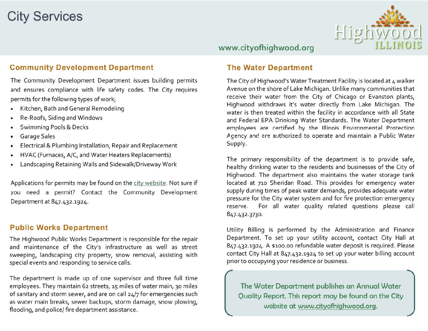# **City Services**



### www.cityofhighwood.org

### **Community Development Department**

The Community Development Department issues building permits and ensures compliance with life safety codes. The City requires permits for the following types of work;

- Kitchen, Bath and General Remodeling
- Re-Roofs, Siding and Windows
- **Swimming Pools & Decks**
- Garage Sales
- Electrical & Plumbing Installation, Repair and Replacement
- HVAC (Furnaces, A/C, and Water Heaters Replacements)
- Landscaping Retaining Walls and Sidewalk/Driveway Work

Applications for permits may be found on the city website. Not sure if you need a permit? Contact the Community Development Department at 847.432.1924.

#### **Public Works Department**

The Highwood Public Works Department is responsible for the repair and maintenance of the City's infrastructure as well as street sweeping, landscaping city property, snow removal, assisting with special events and responding to service calls.

The department is made up of one supervisor and three full time employees. They maintain 62 streets, 15 miles of water main, 30 miles of sanitary and storm sewer, and are on call 24/7 for emergencies such as water main breaks, sewer backups, storm damage, snow plowing, flooding, and police/ fire department assistance.

### **The Water Department**

The City of Highwood's Water Treatment Facility is located at 4 walker Avenue on the shore of Lake Michigan. Unlike many communities that receive their water from the City of Chicago or Evanston plants, Highwood withdraws it's water directly from Lake Michigan. The water is then treated within the facility in accordance with all State and Federal EPA Drinking Water Standards. The Water Department employees are certified by the Illinois Environmental Protection Agency and are authorized to operate and maintain a Public Water Supply.

The primary responsibility of the department is to provide safe, healthy drinking water to the residents and businesses of the City of Highwood. The department also maintains the water storage tank located at 710 Sheridan Road. This provides for emergency water supply during times of peak water demands, provides adequate water pressure for the City water system and for fire protection emergency reserve. For all water quality related questions please call 847.432.3730.

Utility Billing is performed by the Administration and Finance Department. To set up your utility account, contact City Hall at 847.432.1924. A \$100.00 refundable water deposit is required. Please contact City Hall at 847.432.1924 to set up your water billing account prior to occupying your residence or business.

The Water Department publishes an Annual Water Quality Report. This report may be found on the City website at www.cityofhighwood.org.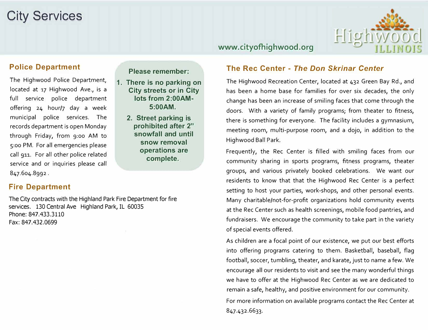# **City Services**



### **www.cityofhighwood.org**

### **Police Department**

The Highwood Police Department, located at 17 Highwood Ave., is a full service police department offering 24 hour/7 day a week municipal police services. The records department is open Monday through Friday, from 9:00 AM to 5:00 PM. For all emergencies please call 911. For all other police related service and or inquiries please call 847.604.8992 .

#### **Please remember:**

- **1. There is no parking on City streets or in City lots from 2:00AM-5:00AM.** 
	- **2. Street parking is prohibited after 2" snowfall and until snow removal operations are complete.**

### **Fire Department**

The City contracts with the Highland Park Fire Department for fire services. 130 Central Ave Highland Park, IL 60035 Phone: 847.433.3110 Fax: 847.432.0699

### **The Rec Center -** *The Don Skrinar Center*

The Highwood Recreation Center, located at 432 Green Bay Rd., and has been a home base for families for over six decades, the only change has been an increase of smiling faces that come through the doors. With a variety of family programs; from theater to fitness, there is something for everyone. The facility includes a gymnasium, meeting room, multi-purpose room, and a dojo, in addition to the Highwood Ball Park.

Frequently, the Rec Center is filled with smiling faces from our community sharing in sports programs, fitness programs, theater groups, and various privately booked celebrations. We want our residents to know that that the Highwood Rec Center is a perfect setting to host your parties, work-shops, and other personal events. Many charitable/not-for-profit organizations hold community events at the Rec Center such as health screenings, mobile food pantries, and fundraisers. We encourage the community to take part in the variety of special events offered.

As children are a focal point of our existence, we put our best efforts into offering programs catering to them. Basketball, baseball, flag football, soccer, tumbling, theater, and karate, just to name a few. We encourage all our residents to visit and see the many wonderful things we have to offer at the Highwood Rec Center as we are dedicated to remain a safe, healthy, and positive environment for our community. For more information on available programs contact the Rec Center at 847.432.6633.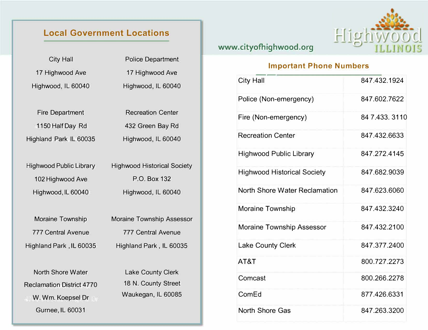## **Local Government Locations**

| <b>City Hall</b>                 | <b>Police Department</b>           |  |
|----------------------------------|------------------------------------|--|
| 17 Highwood Ave                  | 17 Highwood Ave                    |  |
| Highwood, IL 60040               | Highwood, IL 60040                 |  |
|                                  |                                    |  |
| <b>Fire Department</b>           | <b>Recreation Center</b>           |  |
| 1150 Half Day Rd                 | 432 Green Bay Rd                   |  |
| Highland Park IL 60035           | Highwood, IL 60040                 |  |
|                                  |                                    |  |
| <b>Highwood Public Library</b>   | <b>Highwood Historical Society</b> |  |
| 102 Highwood Ave                 | P.O. Box 132                       |  |
| Highwood, IL 60040               | Highwood, IL 60040                 |  |
|                                  |                                    |  |
| <b>Moraine Township</b>          | <b>Moraine Township Assessor</b>   |  |
| <b>777 Central Avenue</b>        | <b>777 Central Avenue</b>          |  |
| Highland Park, IL 60035          | Highland Park, IL 60035            |  |
|                                  |                                    |  |
| <b>North Shore Water</b>         | <b>Lake County Clerk</b>           |  |
| <b>Reclamation District 4770</b> | 18 N. County Street                |  |
| W. Wm. Koepsel Dr                | Waukegan, IL 60085                 |  |

Gurnee, IL 60031

## **www.cityofhighwood.org**



## **Important Phone Numbers**

| City Hall                            | 847.432.1924   |
|--------------------------------------|----------------|
| Police (Non-emergency)               | 847.602.7622   |
| Fire (Non-emergency)                 | 84 7.433, 3110 |
| <b>Recreation Center</b>             | 847.432.6633   |
| <b>Highwood Public Library</b>       | 847.272.4145   |
| <b>Highwood Historical Society</b>   | 847.682.9039   |
| <b>North Shore Water Reclamation</b> | 847.623.6060   |
| Moraine Township                     | 847.432.3240   |
| <b>Moraine Township Assessor</b>     | 847.432.2100   |
| <b>Lake County Clerk</b>             | 847.377.2400   |
| AT&T                                 | 800.727.2273   |
| Comcast                              | 800.266.2278   |
| ComEd                                | 877.426.6331   |
| <b>North Shore Gas</b>               | 847.263.3200   |